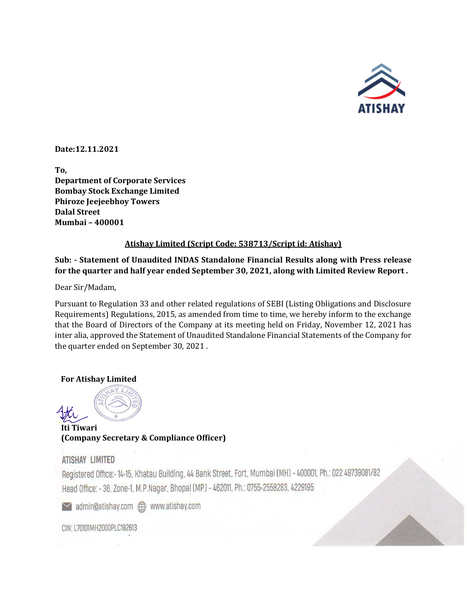

**Date:12.11.2021**

**To, Department of Corporate Services Bombay Stock Exchange Limited Phiroze Jeejeebhoy Towers Dalal Street Mumbai – 400001**

## **Atishay Limited (Script Code: 538713/Script id: Atishay)**

# **Sub: - Statement of Unaudited INDAS Standalone Financial Results along with Press release for the quarter and half year ended September 30, 2021, along with Limited Review Report .**

Dear Sir/Madam,

Pursuant to Regulation 33 and other related regulations of SEBI (Listing Obligations and Disclosure Requirements) Regulations, 2015, as amended from time to time, we hereby inform to the exchange that the Board of Directors of the Company at its meeting held on Friday, November 12, 2021 has inter alia, approved the Statement of Unaudited Standalone Financial Statements of the Company for the quarter ended on September 30, 2021 .

## **For Atishay Limited**



 **Iti Tiwari (Company Secretary & Compliance Officer)**

# ATISHAY LIMITED

Registered Office:- 14-15, Khatau Building, 44 Bank Street, Fort, Mumbai (MH) - 400001, Ph.: 022 49739081/82 Head Office: - 36, Zone-1, M.P.Nagar, Bhopal (MP) - 462011, Ph.: 0755-2558283, 4229195

CIN: L70101MH2000PLC192613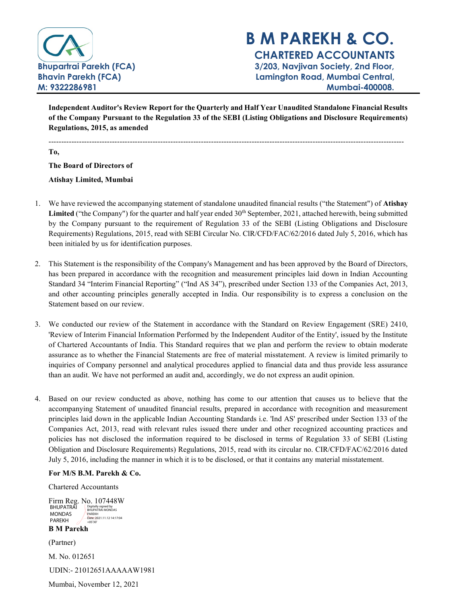

# B M PAREKH & CO. CHARTERED ACCOUNTANTS Bhupartrai Parekh (FCA) 3/203, Navjivan Society, 2nd Floor, Bhavin Parekh (FCA) Lamington Road, Mumbai Central, M: 9322286981 Mumbai-400008.

Independent Auditor's Review Report for the Quarterly and Half Year Unaudited Standalone Financial Results of the Company Pursuant to the Regulation 33 of the SEBI (Listing Obligations and Disclosure Requirements) Regulations, 2015, as amended

--------------------------------------------------------------------------------------------------------------------------------------------

To,

The Board of Directors of

Atishay Limited, Mumbai

- 1. We have reviewed the accompanying statement of standalone unaudited financial results ("the Statement") of Atishay Limited ("the Company") for the quarter and half year ended 30<sup>th</sup> September, 2021, attached herewith, being submitted by the Company pursuant to the requirement of Regulation 33 of the SEBI (Listing Obligations and Disclosure Requirements) Regulations, 2015, read with SEBI Circular No. ClR/CFD/FAC/62/2016 dated July 5, 2016, which has been initialed by us for identification purposes.
- 2. This Statement is the responsibility of the Company's Management and has been approved by the Board of Directors, has been prepared in accordance with the recognition and measurement principles laid down in Indian Accounting Standard 34 "Interim Financial Reporting" ("Ind AS 34"), prescribed under Section 133 of the Companies Act, 2013, and other accounting principles generally accepted in India. Our responsibility is to express a conclusion on the Statement based on our review.
- 3. We conducted our review of the Statement in accordance with the Standard on Review Engagement (SRE) 2410, 'Review of Interim Financial Information Performed by the Independent Auditor of the Entity', issued by the Institute of Chartered Accountants of India. This Standard requires that we plan and perform the review to obtain moderate assurance as to whether the Financial Statements are free of material misstatement. A review is limited primarily to inquiries of Company personnel and analytical procedures applied to financial data and thus provide less assurance than an audit. We have not performed an audit and, accordingly, we do not express an audit opinion.
- 4. Based on our review conducted as above, nothing has come to our attention that causes us to believe that the accompanying Statement of unaudited financial results, prepared in accordance with recognition and measurement principles laid down in the applicable Indian Accounting Standards i.e. 'Ind AS' prescribed under Section 133 of the Companies Act, 2013, read with relevant rules issued there under and other recognized accounting practices and policies has not disclosed the information required to be disclosed in terms of Regulation 33 of SEBI (Listing Obligation and Disclosure Requirements) Regulations, 2015, read with its circular no. CIR/CFD/FAC/62/2016 dated July 5, 2016, including the manner in which it is to be disclosed, or that it contains any material misstatement.

For M/S B.M. Parekh & Co.

Chartered Accountants

Firm Reg. No. 107448W<br>BHUPATRAI Prigidally signed by BHUPATRAI<br>
MONDAS<br>
PAREKH<br>
PAREKH<br>
PAREKH<br>
(Partner)<br>
M. No. 012651<br>
UDIN:- 21012651AAAAAW<br>
Mumbai, November 12, 2021 MONDAS PAREKH Digitally signed by BHUPATRAI MONDAS PAREKH Date: 2021.11.12 14:17:04 +05'30'

B M Parekh

(Partner)

M. No. 012651

UDIN:- 21012651AAAAAW1981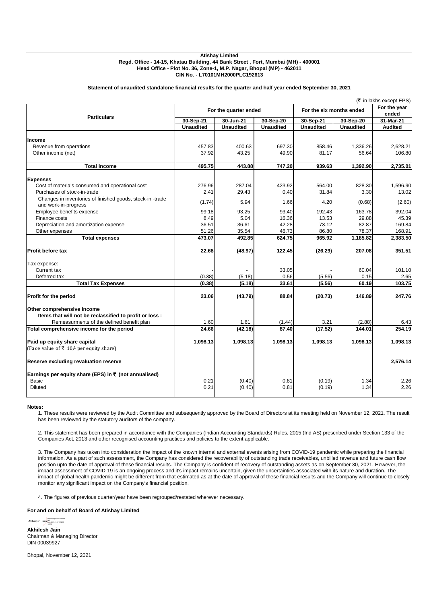#### **Atishay Limited Regd. Office - 14-15, Khatau Building, 44 Bank Street , Fort, Mumbai (MH) - 400001 Head Office - Plot No. 36, Zone-1, M.P. Nagar, Bhopal (MP) - 462011 CIN No. - L70101MH2000PLC192613**

#### **Statement of unaudited standalone financial results for the quarter and half year ended September 30, 2021**

|                                                                                       |                       |                  |                  |                          |                  | (₹ in lakhs except EPS) |
|---------------------------------------------------------------------------------------|-----------------------|------------------|------------------|--------------------------|------------------|-------------------------|
| <b>Particulars</b>                                                                    | For the quarter ended |                  |                  | For the six months ended |                  | For the year<br>ended   |
|                                                                                       | 30-Sep-21             | 30-Jun-21        | 30-Sep-20        | 30-Sep-21                | 30-Sep-20        | 31-Mar-21               |
|                                                                                       | <b>Unaudited</b>      | <b>Unaudited</b> | <b>Unaudited</b> | <b>Unaudited</b>         | <b>Unaudited</b> | <b>Audited</b>          |
| <b>Income</b>                                                                         |                       |                  |                  |                          |                  |                         |
| Revenue from operations                                                               | 457.83                | 400.63           | 697.30           | 858.46                   | 1,336.26         | 2,628.21                |
| Other income (net)                                                                    | 37.92                 | 43.25            | 49.90            | 81.17                    | 56.64            | 106.80                  |
|                                                                                       |                       |                  |                  |                          |                  |                         |
| <b>Total income</b>                                                                   | 495.75                | 443.88           | 747.20           | 939.63                   | 1,392.90         | 2,735.01                |
| <b>Expenses</b>                                                                       |                       |                  |                  |                          |                  |                         |
| Cost of materials consumed and operational cost                                       | 276.96                | 287.04           | 423.92           | 564.00                   | 828.30           | 1,596.90                |
| Purchases of stock-in-trade                                                           | 2.41                  | 29.43            | 0.40             | 31.84                    | 3.30             | 13.02                   |
| Changes in inventories of finished goods, stock-in -trade                             |                       |                  |                  |                          |                  |                         |
| and work-in-progress                                                                  | (1.74)                | 5.94             | 1.66             | 4.20                     | (0.68)           | (2.60)                  |
| Employee benefits expense                                                             | 99.18                 | 93.25            | 93.40            | 192.43                   | 163.78           | 392.04                  |
| Finance costs                                                                         | 8.49                  | 5.04             | 16.36            | 13.53                    | 29.88            | 45.39                   |
| Depreciation and amortization expense                                                 | 36.51                 | 36.61            | 42.28            | 73.12                    | 82.87            | 169.84                  |
| Other expenses                                                                        | 51.26                 | 35.54            | 46.73            | 86.80                    | 78.37            | 168.91                  |
| <b>Total expenses</b>                                                                 | 473.07                | 492.85           | 624.75           | 965.92                   | 1,185.82         | 2,383.50                |
| Profit before tax                                                                     | 22.68                 | (48.97)          | 122.45           | (26.29)                  | 207.08           | 351.51                  |
| Tax expense:                                                                          |                       |                  |                  |                          |                  |                         |
| Current tax                                                                           |                       |                  | 33.05            |                          | 60.04            | 101.10                  |
| Deferred tax                                                                          | (0.38)                | (5.18)           | 0.56             | (5.56)                   | 0.15             | 2.65                    |
| <b>Total Tax Expenses</b>                                                             | (0.38)                | (5.18)           | 33.61            | (5.56)                   | 60.19            | 103.75                  |
| <b>Profit for the period</b>                                                          | 23.06                 | (43.79)          | 88.84            | (20.73)                  | 146.89           | 247.76                  |
|                                                                                       |                       |                  |                  |                          |                  |                         |
| Other comprehensive income<br>Items that will not be reclassified to profit or loss : |                       |                  |                  |                          |                  |                         |
| Remeasurments of the defined benefit plan                                             | 1.60                  | 1.61             | (1.44)           | 3.21                     | (2.88)           | 6.43                    |
| Total comprehensive income for the period                                             | 24.66                 | (42.18)          | 87.40            | (17.52)                  | 144.01           | 254.19                  |
|                                                                                       |                       |                  |                  |                          |                  |                         |
| Paid up equity share capital                                                          | 1,098.13              | 1,098.13         | 1,098.13         | 1,098.13                 | 1,098.13         | 1,098.13                |
| (Face value of ₹ 10/ per equity share)                                                |                       |                  |                  |                          |                  |                         |
| Reserve excluding revaluation reserve                                                 |                       |                  |                  |                          |                  | 2,576.14                |
|                                                                                       |                       |                  |                  |                          |                  |                         |
| Earnings per equity share (EPS) in ₹ (not annualised)<br>Basic                        | 0.21                  |                  | 0.81             |                          | 1.34             | 2.26                    |
| <b>Diluted</b>                                                                        | 0.21                  | (0.40)<br>(0.40) | 0.81             | (0.19)<br>(0.19)         | 1.34             | 2.26                    |
|                                                                                       |                       |                  |                  |                          |                  |                         |

#### **Notes:**

1. These results were reviewed by the Audit Committee and subsequently approved by the Board of Directors at its meeting held on November 12, 2021. The result has been reviewed by the statutory auditors of the company.

2. This statement has been prepared in accordance with the Companies (Indian Accounting Standards) Rules, 2015 (Ind AS) prescribed under Section 133 of the Companies Act, 2013 and other recognised accounting practices and policies to the extent applicable.

3. The Company has taken into consideration the impact of the known internal and external events arising from COVID-19 pandemic while preparing the financial information. As a part of such assessment, the Company has considered the recoverability of outstanding trade receivables, unbilled revenue and future cash flow position upto the date of approval of these financial results. The Company is confident of recovery of outstanding assets as on September 30, 2021. However, the impact assessment of COVID-19 is an ongoing process and it's impact remains uncertain, given the uncertainties associated with its nature and duration. The impact of global health pandemic might be different from that estimated as at the date of approval of these financial results and the Company will continue to closely monitor any significant impact on the Company's financial position.

4. The figures of previous quarter/year have been regrouped/restated wherever necessary.

#### **For and on behalf of Board of Atishay Limited**

Akhilesh Jain **Digitally signed by Akhilesh**<br>+05'30' 11.12 13:52:13<br>+05'30'

**Akhilesh Jain** Chairman & Managing Director DIN 00039927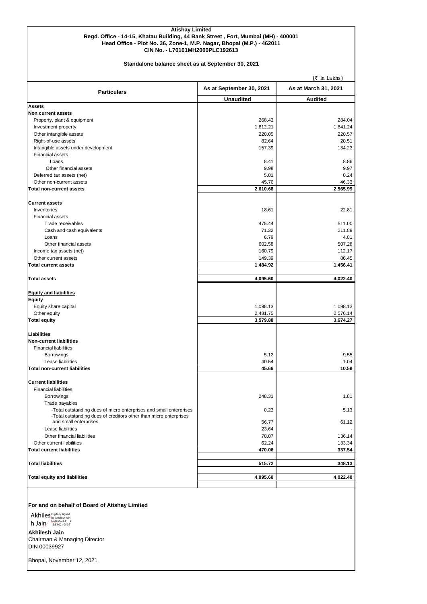#### **Atishay Limited Regd. Office - 14-15, Khatau Building, 44 Bank Street , Fort, Mumbai (MH) - 400001 Head Office - Plot No. 36, Zone-1, M.P. Nagar, Bhopal (M.P.) - 462011 CIN No. - L70101MH2000PLC192613**

#### **Standalone balance sheet as at September 30, 2021**

 $($ ₹ in Lakhs) Unaudited **Audited Assets Non current assets** Property, plant & equipment 264.04 Investment property 1,841.24 1,841.24 1,841.24 Other intangible assets 220.57 220.57 220.57 220.67 220.67 220.67 220.67 220.67 220.67 220.67 220.67 220.67 220.67 220.67 220.67 220.67 220.67 220.67 220.67 220.67 220.67 220.67 220.67 220.67 220.67 220.67 220.67 220.67 22 Right-of-use assets 20.51 20.51 20.51 20.51 20.51 20.51 20.51 20.51 20.51 20.51 20.51 20.51 20.51 20.51 20.51 20.51 20.51 20.51 20.51 20.51 20.51 20.51 20.51 20.51 20.51 20.51 20.51 20.51 20.51 20.51 20.51 20.51 20.51 20.5 Intangible assets under development 157.39 134.23 Financial assets Loans 8.41 8.86 Other financial assets 8.97 (1992) 9.97 (1993) 9.97 (1994) 9.98 (1994) 9.97 (1994) 9.97 (1995) 9.97 (1995) 9.97 Deferred tax assets (net) 0.24 0.24 Other non-current assets 46.33 **Total non-current assets 2,610.68 2,565.99 Current assets** Inventories 18.61 22.81 Financial assets Trade receivables 611.00 to the state of the state of the state of the state of the state of the state of the state of the state of the state of the state of the state of the state of the state of the state of the state of Cash and cash equivalents **211.89** 211.89 Loans  $6.79$  errors and  $6.79$  errors and  $6.79$  errors and  $6.79$  errors and  $4.81$ Other financial assets 607.28 **602.58** 507.28  $I = \frac{1}{2}$  112.17 112.17 Other current assets 86.45 **Total current assets 1,484.92 1,456.41 Total assets 4,095.60 4,022.40 Equity and liabilities Equity** Equity share capital 1,098.13 1,098.13 1,098.13 1,098.13 Other equity 2,576.14 **Total equity 3,579.88 3,674.27 Liabilities Non-current liabilities** Financial liabilities Borrowings 5.12 9.55 Lease liabilities 40.54 1.04 Total non-current liabilities **10.59** 10.59 **10.59** 10.59 **10.59** 10.59 **10.59** 10.59 **Current liabilities** Financial liabilities Borrowings 248.31 1.81 Trade payables -Total outstanding dues of micro enterprises and small enterprises  $\vert$  0.23  $\vert$  0.23  $\vert$  5.13 -Total outstanding dues of creditors other than micro enterprises and small enterprises 61.12<br>
Lease liabilities 61.12<br>
1990 - 1992 - 1993 - 1994 - 1995 - 1996 - 1997 - 1998 - 1999 - 1999 - 1999 - 1999 - 1999 - 1999 - 1999 - 1999 - 1999 - 1999 - 1999 - 1999 - 1999 - 1999 - 1999 - 1999 - Lease liabilities 23.64 - Other financial liabilities 136.14 Other current liabilities **62.24** 133.34 **Total current liabilities 470.06 337.54 Total liabilities 515.72 348.13 Total equity and liabilities 4,095.60 4,022.40 As at March 31, 2021 Particulars As at September 30, 2021**

## **For and on behalf of Board of Atishay Limited**

Akhiles Digitally signed h Jain ass3:02 + 05'30'

**Akhilesh Jain** Chairman & Managing Director DIN 00039927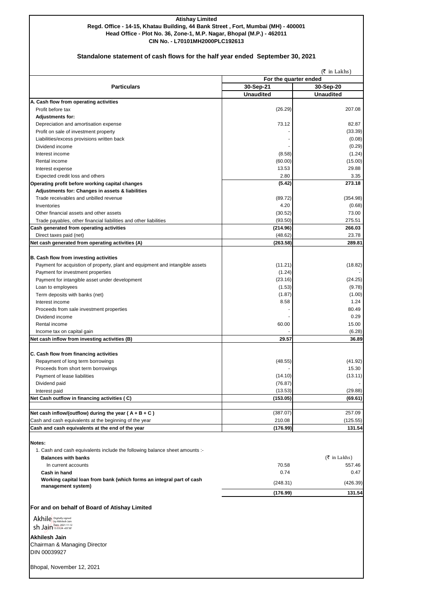## **Atishay Limited Regd. Office - 14-15, Khatau Building, 44 Bank Street , Fort, Mumbai (MH) - 400001 Head Office - Plot No. 36, Zone-1, M.P. Nagar, Bhopal (M.P.) - 462011 CIN No. - L70101MH2000PLC192613**

## **Standalone statement of cash flows for the half year ended September 30, 2021**

|                                                                               | $(5 \text{ in Lakhs})$<br>For the quarter ended |                               |  |  |
|-------------------------------------------------------------------------------|-------------------------------------------------|-------------------------------|--|--|
| <b>Particulars</b>                                                            | 30-Sep-21                                       |                               |  |  |
|                                                                               | <b>Unaudited</b>                                | 30-Sep-20<br><b>Unaudited</b> |  |  |
| A. Cash flow from operating activities                                        |                                                 |                               |  |  |
| Profit before tax                                                             | (26.29)                                         | 207.08                        |  |  |
| <b>Adjustments for:</b>                                                       |                                                 |                               |  |  |
| Depreciation and amortisation expense                                         | 73.12                                           | 82.87                         |  |  |
| Profit on sale of investment property                                         |                                                 | (33.39)                       |  |  |
| Liabilities/excess provisions written back                                    |                                                 | (0.08)                        |  |  |
| Dividend income                                                               |                                                 | (0.29)                        |  |  |
|                                                                               | (8.58)                                          |                               |  |  |
| Interest income                                                               |                                                 | (1.24)                        |  |  |
| Rental income                                                                 | (60.00)                                         | (15.00)                       |  |  |
| Interest expense                                                              | 13.53                                           | 29.88                         |  |  |
| Expected credit loss and others                                               | 2.80                                            | 3.35                          |  |  |
| Operating profit before working capital changes                               | (5.42)                                          | 273.18                        |  |  |
| Adjustments for: Changes in assets & liabilities                              |                                                 |                               |  |  |
| Trade receivables and unbilled revenue                                        | (89.72)                                         | (354.98)                      |  |  |
| Inventories                                                                   | 4.20                                            | (0.68)                        |  |  |
| Other financial assets and other assets                                       | (30.52)                                         | 73.00                         |  |  |
| Trade payables, other financial liabilities and other liabilities             | (93.50)                                         | 275.51                        |  |  |
| Cash generated from operating activities                                      | (214.96)                                        | 266.03                        |  |  |
| Direct taxes paid (net)                                                       | (48.62)                                         | 23.78                         |  |  |
| Net cash generated from operating activities (A)                              | (263.58)                                        | 289.81                        |  |  |
|                                                                               |                                                 |                               |  |  |
| B. Cash flow from investing activities                                        |                                                 |                               |  |  |
| Payment for acquistion of property, plant and equipment and intangible assets | (11.21)                                         | (18.82)                       |  |  |
| Payment for investment properties                                             | (1.24)                                          |                               |  |  |
| Payment for intangible asset under development                                | (23.16)                                         | (24.25)                       |  |  |
| Loan to employees                                                             | (1.53)                                          | (9.78)                        |  |  |
| Term deposits with banks (net)                                                | (1.87)                                          | (1.00)                        |  |  |
| Interest income                                                               | 8.58                                            | 1.24                          |  |  |
| Proceeds from sale investment properties                                      |                                                 | 80.49                         |  |  |
| Dividend income                                                               |                                                 | 0.29                          |  |  |
| Rental income                                                                 | 60.00                                           | 15.00                         |  |  |
| Income tax on capital gain                                                    |                                                 | (6.28)                        |  |  |
| Net cash inflow from investing activities (B)                                 | 29.57                                           | 36.89                         |  |  |
|                                                                               |                                                 |                               |  |  |
| C. Cash flow from financing activities                                        |                                                 |                               |  |  |
| Repayment of long term borrowings                                             | (48.55)                                         | (41.92)                       |  |  |
| Proceeds from short term borrowings                                           |                                                 | 15.30                         |  |  |
| Payment of lease liabilities                                                  | (14.10)                                         | (13.11)                       |  |  |
| Dividend paid                                                                 | (76.87)                                         |                               |  |  |
| Interest paid                                                                 | (13.53)                                         | (29.88)                       |  |  |
| Net Cash outflow in financing activities (C)                                  | (153.05)                                        | (69.61)                       |  |  |
|                                                                               |                                                 |                               |  |  |
| Net cash inflow/(outflow) during the year ( $A + B + C$ )                     | (387.07)                                        | 257.09                        |  |  |
| Cash and cash equivalents at the beginning of the year                        | 210.08                                          | (125.55)                      |  |  |
| Cash and cash equivalents at the end of the year                              | (176.99)                                        | 131.54                        |  |  |
|                                                                               |                                                 |                               |  |  |
| Notes:                                                                        |                                                 |                               |  |  |
| 1. Cash and cash equivalents include the following balance sheet amounts :-   |                                                 |                               |  |  |
| <b>Balances with banks</b>                                                    |                                                 | $(5 \text{ in Lakk})$         |  |  |
| In current accounts                                                           | 70.58                                           | 557.46                        |  |  |
| Cash in hand                                                                  | 0.74                                            | 0.47                          |  |  |
| Working capital loan from bank (which forms an integral part of cash          |                                                 |                               |  |  |
| management system)                                                            | (248.31)                                        | (426.39)                      |  |  |
|                                                                               | (176.99)                                        | 131.54                        |  |  |
|                                                                               |                                                 |                               |  |  |
| For and on behalf of Board of Atishay Limited                                 |                                                 |                               |  |  |
| Akhile Digitally signed                                                       |                                                 |                               |  |  |
| Date: 2021.11.12<br>$\mathsf{S}$ n Jain 13:53:24 +05'30'                      |                                                 |                               |  |  |
|                                                                               |                                                 |                               |  |  |
| Akhilesh Jain                                                                 |                                                 |                               |  |  |
| Chairman & Managing Director                                                  |                                                 |                               |  |  |
| DIN 00039927                                                                  |                                                 |                               |  |  |
|                                                                               |                                                 |                               |  |  |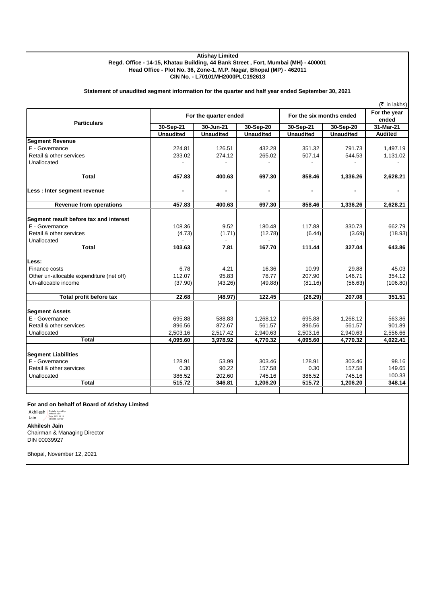## **Atishay Limited Regd. Office - 14-15, Khatau Building, 44 Bank Street , Fort, Mumbai (MH) - 400001 Head Office - Plot No. 36, Zone-1, M.P. Nagar, Bhopal (MP) - 462011 CIN No. - L70101MH2000PLC192613**

## **Statement of unaudited segment information for the quarter and half year ended September 30, 2021**

|                                          |                  | For the quarter ended |                  |                  | For the six months ended |                    |
|------------------------------------------|------------------|-----------------------|------------------|------------------|--------------------------|--------------------|
| <b>Particulars</b>                       | 30-Sep-21        | 30-Jun-21             | $30-$ Sep-20     | 30-Sep-21        | 30-Sep-20                | ended<br>31-Mar-21 |
|                                          | <b>Unaudited</b> | <b>Unaudited</b>      | <b>Unaudited</b> | <b>Unaudited</b> | <b>Unaudited</b>         | <b>Audited</b>     |
| <b>Segment Revenue</b>                   |                  |                       |                  |                  |                          |                    |
| E - Governance                           | 224.81           | 126.51                | 432.28           | 351.32           | 791.73                   | 1,497.19           |
| Retail & other services                  | 233.02           | 274.12                | 265.02           | 507.14           | 544.53                   | 1,131.02           |
| Unallocated                              |                  |                       |                  |                  |                          |                    |
| Total                                    | 457.83           | 400.63                | 697.30           | 858.46           | 1,336.26                 | 2,628.21           |
| Less : Inter segment revenue             |                  | $\blacksquare$        |                  |                  |                          |                    |
| <b>Revenue from operations</b>           | 457.83           | 400.63                | 697.30           | 858.46           | 1,336.26                 | 2,628.21           |
|                                          |                  |                       |                  |                  |                          |                    |
| Segment result before tax and interest   |                  |                       |                  |                  |                          |                    |
| E - Governance                           | 108.36           | 9.52                  | 180.48           | 117.88           | 330.73                   | 662.79             |
| Retail & other services                  | (4.73)           | (1.71)                | (12.78)          | (6.44)           | (3.69)                   | (18.93)            |
| Unallocated                              |                  |                       |                  |                  |                          |                    |
| <b>Total</b>                             | 103.63           | 7.81                  | 167.70           | 111.44           | 327.04                   | 643.86             |
| Less:                                    |                  |                       |                  |                  |                          |                    |
| Finance costs                            | 6.78             | 4.21                  | 16.36            | 10.99            | 29.88                    | 45.03              |
| Other un-allocable expenditure (net off) | 112.07           | 95.83                 | 78.77            | 207.90           | 146.71                   | 354.12             |
| Un-allocable income                      | (37.90)          | (43.26)               | (49.88)          | (81.16)          | (56.63)                  | (106.80)           |
| Total profit before tax                  | 22.68            | (48.97)               | 122.45           | (26.29)          | 207.08                   | 351.51             |
| <b>Segment Assets</b>                    |                  |                       |                  |                  |                          |                    |
| E - Governance                           | 695.88           | 588.83                | 1,268.12         | 695.88           | 1,268.12                 | 563.86             |
| Retail & other services                  | 896.56           | 872.67                | 561.57           | 896.56           | 561.57                   | 901.89             |
| Unallocated                              | 2,503.16         | 2,517.42              | 2,940.63         | 2,503.16         | 2,940.63                 | 2,556.66           |
| <b>Total</b>                             | 4,095.60         | 3,978.92              | 4,770.32         | 4,095.60         | 4,770.32                 | 4,022.41           |
| <b>Segment Liabilities</b>               |                  |                       |                  |                  |                          |                    |
| E - Governance                           | 128.91           | 53.99                 | 303.46           | 128.91           | 303.46                   | 98.16              |
| Retail & other services                  | 0.30             | 90.22                 | 157.58           | 0.30             | 157.58                   | 149.65             |
| Unallocated                              | 386.52           | 202.60                | 745.16           | 386.52           | 745.16                   | 100.33             |
| <b>Total</b>                             | 515.72           | 346.81                | 1,206.20         | 515.72           | 1,206.20                 | 348.14             |
|                                          |                  |                       |                  |                  |                          |                    |
|                                          |                  |                       |                  |                  |                          |                    |

## **For and on behalf of Board of Atishay Limited**

**Akhilesh Jain** Chairman & Managing Director DIN 00039927 Akhilesh Bigitally signed by Akhilesh Jain<br>Jain Date: 2021.11.12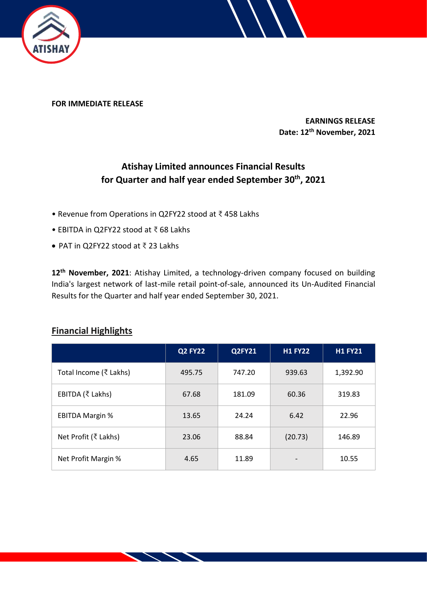

**FOR IMMEDIATE RELEASE**

**EARNINGS RELEASE Date: 12th November, 2021**

# **Atishay Limited announces Financial Results for Quarter and half year ended September 30 th, 2021**

- Revenue from Operations in Q2FY22 stood at ₹ 458 Lakhs
- EBITDA in Q2FY22 stood at ₹ 68 Lakhs
- PAT in Q2FY22 stood at ₹ 23 Lakhs

**12th November, 2021**: Atishay Limited, a technology-driven company focused on building India's largest network of last-mile retail point-of-sale, announced its Un-Audited Financial Results for the Quarter and half year ended September 30, 2021.

|                        | <b>Q2 FY22</b> | <b>Q2FY21</b> | <b>H1 FY22</b>           | <b>H1 FY21</b> |
|------------------------|----------------|---------------|--------------------------|----------------|
| Total Income (₹ Lakhs) | 495.75         | 747.20        | 939.63                   | 1,392.90       |
| EBITDA (₹ Lakhs)       | 67.68          | 181.09        | 60.36                    | 319.83         |
| <b>EBITDA Margin %</b> | 13.65          | 24.24         | 6.42                     | 22.96          |
| Net Profit (₹ Lakhs)   | 23.06          | 88.84         | (20.73)                  | 146.89         |
| Net Profit Margin %    | 4.65           | 11.89         | $\overline{\phantom{a}}$ | 10.55          |

# **Financial Highlights**